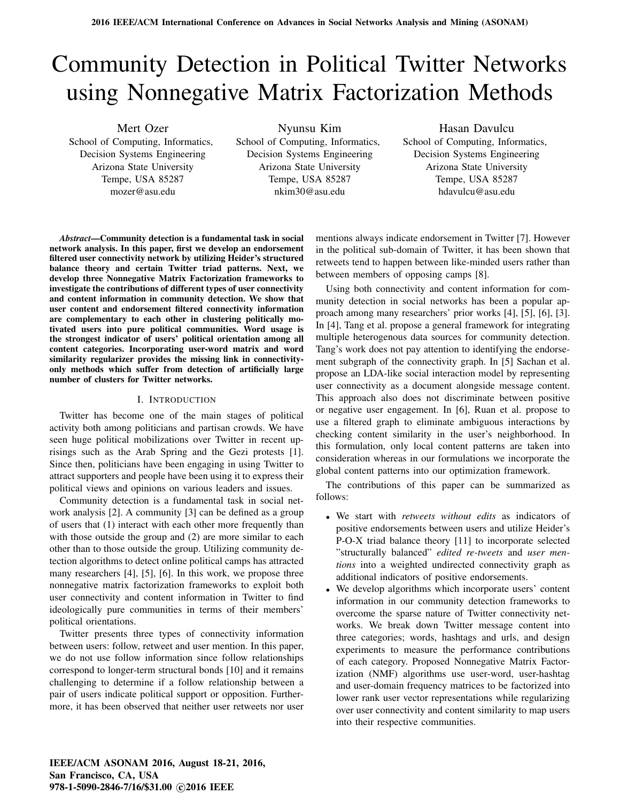# Community Detection in Political Twitter Networks using Nonnegative Matrix Factorization Methods

Mert Ozer School of Computing, Informatics, Decision Systems Engineering Arizona State University Tempe, USA 85287 mozer@asu.edu

Nyunsu Kim

School of Computing, Informatics, Decision Systems Engineering Arizona State University Tempe, USA 85287 nkim30@asu.edu

Hasan Davulcu School of Computing, Informatics, Decision Systems Engineering Arizona State University Tempe, USA 85287 hdavulcu@asu.edu

*Abstract*—Community detection is a fundamental task in social network analysis. In this paper, first we develop an endorsement filtered user connectivity network by utilizing Heider's structured balance theory and certain Twitter triad patterns. Next, we develop three Nonnegative Matrix Factorization frameworks to investigate the contributions of different types of user connectivity and content information in community detection. We show that user content and endorsement filtered connectivity information are complementary to each other in clustering politically motivated users into pure political communities. Word usage is the strongest indicator of users' political orientation among all content categories. Incorporating user-word matrix and word similarity regularizer provides the missing link in connectivityonly methods which suffer from detection of artificially large number of clusters for Twitter networks.

## I. INTRODUCTION

Twitter has become one of the main stages of political activity both among politicians and partisan crowds. We have seen huge political mobilizations over Twitter in recent uprisings such as the Arab Spring and the Gezi protests [1]. Since then, politicians have been engaging in using Twitter to attract supporters and people have been using it to express their political views and opinions on various leaders and issues.

Community detection is a fundamental task in social network analysis [2]. A community [3] can be defined as a group of users that (1) interact with each other more frequently than with those outside the group and (2) are more similar to each other than to those outside the group. Utilizing community detection algorithms to detect online political camps has attracted many researchers [4], [5], [6]. In this work, we propose three nonnegative matrix factorization frameworks to exploit both user connectivity and content information in Twitter to find ideologically pure communities in terms of their members' political orientations.

Twitter presents three types of connectivity information between users: follow, retweet and user mention. In this paper, we do not use follow information since follow relationships correspond to longer-term structural bonds [10] and it remains challenging to determine if a follow relationship between a pair of users indicate political support or opposition. Furthermore, it has been observed that neither user retweets nor user mentions always indicate endorsement in Twitter [7]. However in the political sub-domain of Twitter, it has been shown that retweets tend to happen between like-minded users rather than between members of opposing camps [8].

Using both connectivity and content information for community detection in social networks has been a popular approach among many researchers' prior works [4], [5], [6], [3]. In [4], Tang et al. propose a general framework for integrating multiple heterogenous data sources for community detection. Tang's work does not pay attention to identifying the endorsement subgraph of the connectivity graph. In [5] Sachan et al. propose an LDA-like social interaction model by representing user connectivity as a document alongside message content. This approach also does not discriminate between positive or negative user engagement. In [6], Ruan et al. propose to use a filtered graph to eliminate ambiguous interactions by checking content similarity in the user's neighborhood. In this formulation, only local content patterns are taken into consideration whereas in our formulations we incorporate the global content patterns into our optimization framework.

The contributions of this paper can be summarized as follows:

- We start with *retweets without edits* as indicators of positive endorsements between users and utilize Heider's P-O-X triad balance theory [11] to incorporate selected "structurally balanced" *edited re-tweets* and *user mentions* into a weighted undirected connectivity graph as additional indicators of positive endorsements.
- We develop algorithms which incorporate users' content information in our community detection frameworks to overcome the sparse nature of Twitter connectivity networks. We break down Twitter message content into three categories; words, hashtags and urls, and design experiments to measure the performance contributions of each category. Proposed Nonnegative Matrix Factorization (NMF) algorithms use user-word, user-hashtag and user-domain frequency matrices to be factorized into lower rank user vector representations while regularizing over user connectivity and content similarity to map users into their respective communities.

IEEE/ACM ASONAM 2016, August 18-21, 2016, San Francisco, CA, USA 978-1-5090-2846-7/16/\$31.00 ©2016 IEEE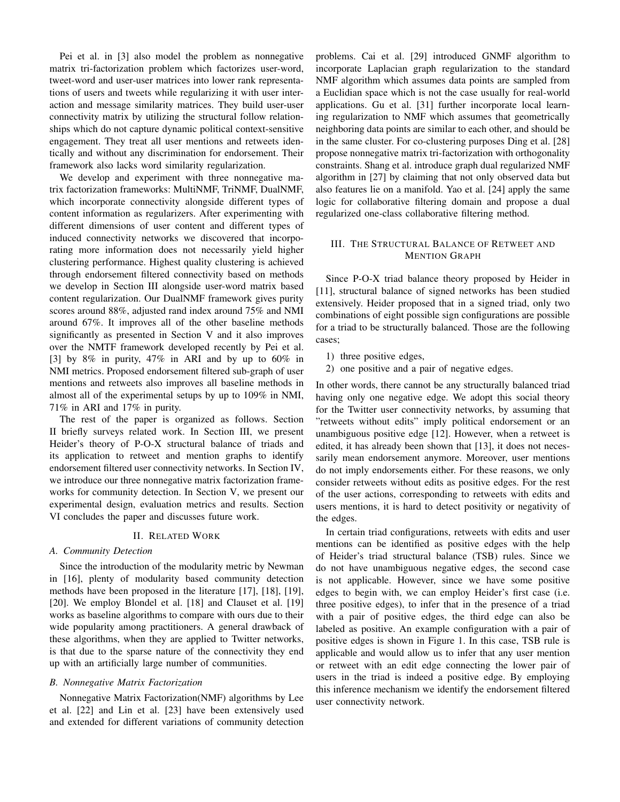Pei et al. in [3] also model the problem as nonnegative matrix tri-factorization problem which factorizes user-word, tweet-word and user-user matrices into lower rank representations of users and tweets while regularizing it with user interaction and message similarity matrices. They build user-user connectivity matrix by utilizing the structural follow relationships which do not capture dynamic political context-sensitive engagement. They treat all user mentions and retweets identically and without any discrimination for endorsement. Their framework also lacks word similarity regularization.

We develop and experiment with three nonnegative matrix factorization frameworks: MultiNMF, TriNMF, DualNMF, which incorporate connectivity alongside different types of content information as regularizers. After experimenting with different dimensions of user content and different types of induced connectivity networks we discovered that incorporating more information does not necessarily yield higher clustering performance. Highest quality clustering is achieved through endorsement filtered connectivity based on methods we develop in Section III alongside user-word matrix based content regularization. Our DualNMF framework gives purity scores around 88%, adjusted rand index around 75% and NMI around 67%. It improves all of the other baseline methods significantly as presented in Section V and it also improves over the NMTF framework developed recently by Pei et al. [3] by 8% in purity, 47% in ARI and by up to 60% in NMI metrics. Proposed endorsement filtered sub-graph of user mentions and retweets also improves all baseline methods in almost all of the experimental setups by up to 109% in NMI, 71% in ARI and 17% in purity.

The rest of the paper is organized as follows. Section II briefly surveys related work. In Section III, we present Heider's theory of P-O-X structural balance of triads and its application to retweet and mention graphs to identify endorsement filtered user connectivity networks. In Section IV, we introduce our three nonnegative matrix factorization frameworks for community detection. In Section V, we present our experimental design, evaluation metrics and results. Section VI concludes the paper and discusses future work.

## II. RELATED WORK

## *A. Community Detection*

Since the introduction of the modularity metric by Newman in [16], plenty of modularity based community detection methods have been proposed in the literature [17], [18], [19], [20]. We employ Blondel et al. [18] and Clauset et al. [19] works as baseline algorithms to compare with ours due to their wide popularity among practitioners. A general drawback of these algorithms, when they are applied to Twitter networks, is that due to the sparse nature of the connectivity they end up with an artificially large number of communities.

#### *B. Nonnegative Matrix Factorization*

Nonnegative Matrix Factorization(NMF) algorithms by Lee et al. [22] and Lin et al. [23] have been extensively used and extended for different variations of community detection problems. Cai et al. [29] introduced GNMF algorithm to incorporate Laplacian graph regularization to the standard NMF algorithm which assumes data points are sampled from a Euclidian space which is not the case usually for real-world applications. Gu et al. [31] further incorporate local learning regularization to NMF which assumes that geometrically neighboring data points are similar to each other, and should be in the same cluster. For co-clustering purposes Ding et al. [28] propose nonnegative matrix tri-factorization with orthogonality constraints. Shang et al. introduce graph dual regularized NMF algorithm in [27] by claiming that not only observed data but also features lie on a manifold. Yao et al. [24] apply the same logic for collaborative filtering domain and propose a dual regularized one-class collaborative filtering method.

# III. THE STRUCTURAL BALANCE OF RETWEET AND MENTION GRAPH

Since P-O-X triad balance theory proposed by Heider in [11], structural balance of signed networks has been studied extensively. Heider proposed that in a signed triad, only two combinations of eight possible sign configurations are possible for a triad to be structurally balanced. Those are the following cases;

1) three positive edges,

2) one positive and a pair of negative edges.

In other words, there cannot be any structurally balanced triad having only one negative edge. We adopt this social theory for the Twitter user connectivity networks, by assuming that "retweets without edits" imply political endorsement or an unambiguous positive edge [12]. However, when a retweet is edited, it has already been shown that [13], it does not necessarily mean endorsement anymore. Moreover, user mentions do not imply endorsements either. For these reasons, we only consider retweets without edits as positive edges. For the rest of the user actions, corresponding to retweets with edits and users mentions, it is hard to detect positivity or negativity of the edges.

In certain triad configurations, retweets with edits and user mentions can be identified as positive edges with the help of Heider's triad structural balance (TSB) rules. Since we do not have unambiguous negative edges, the second case is not applicable. However, since we have some positive edges to begin with, we can employ Heider's first case (i.e. three positive edges), to infer that in the presence of a triad with a pair of positive edges, the third edge can also be labeled as positive. An example configuration with a pair of positive edges is shown in Figure 1. In this case, TSB rule is applicable and would allow us to infer that any user mention or retweet with an edit edge connecting the lower pair of users in the triad is indeed a positive edge. By employing this inference mechanism we identify the endorsement filtered user connectivity network.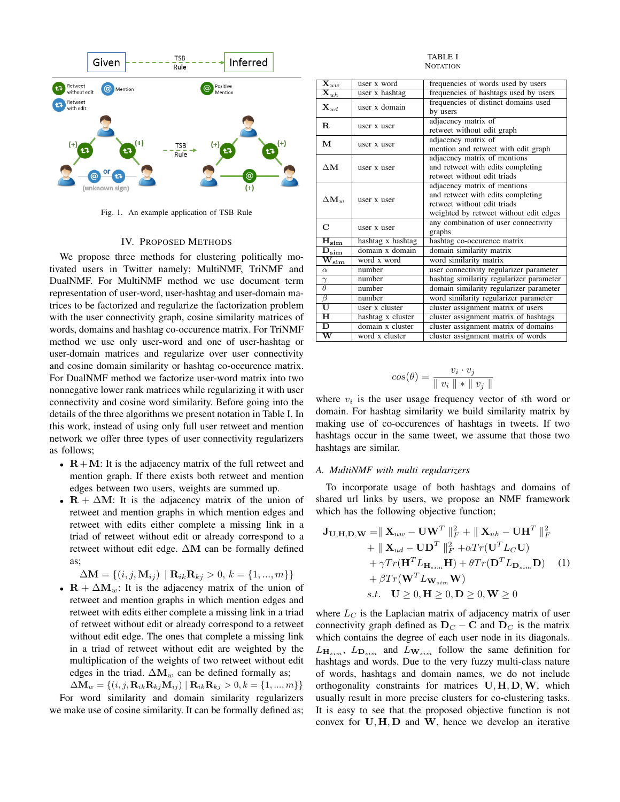

Fig. 1. An example application of TSB Rule

#### IV. PROPOSED METHODS

We propose three methods for clustering politically motivated users in Twitter namely; MultiNMF, TriNMF and DualNMF. For MultiNMF method we use document term representation of user-word, user-hashtag and user-domain matrices to be factorized and regularize the factorization problem with the user connectivity graph, cosine similarity matrices of words, domains and hashtag co-occurence matrix. For TriNMF method we use only user-word and one of user-hashtag or user-domain matrices and regularize over user connectivity and cosine domain similarity or hashtag co-occurence matrix. For DualNMF method we factorize user-word matrix into two nonnegative lower rank matrices while regularizing it with user connectivity and cosine word similarity. Before going into the details of the three algorithms we present notation in Table I. In this work, instead of using only full user retweet and mention network we offer three types of user connectivity regularizers as follows;

- $R+M$ : It is the adjacency matrix of the full retweet and mention graph. If there exists both retweet and mention edges between two users, weights are summed up.
- $R + \Delta M$ : It is the adjacency matrix of the union of retweet and mention graphs in which mention edges and retweet with edits either complete a missing link in a triad of retweet without edit or already correspond to a retweet without edit edge. ∆M can be formally defined as;

 $\Delta \mathbf{M} = \{ (i, j, \mathbf{M}_{ij}) \mid \mathbf{R}_{ik} \mathbf{R}_{kj} > 0, k = \{1, ..., m\} \}$ 

•  $\mathbf{R} + \Delta \mathbf{M}_w$ : It is the adjacency matrix of the union of retweet and mention graphs in which mention edges and retweet with edits either complete a missing link in a triad of retweet without edit or already correspond to a retweet without edit edge. The ones that complete a missing link in a triad of retweet without edit are weighted by the multiplication of the weights of two retweet without edit edges in the triad.  $\Delta M_w$  can be defined formally as;

 $\Delta M_w = \{(i, j, R_{ik}R_{kj}M_{ij}) | R_{ik}R_{kj} > 0, k = \{1, ..., m\}\}\$ For word similarity and domain similarity regularizers we make use of cosine similarity. It can be formally defined as;

TABLE I **NOTATION** 

| $\overline{\mathbf{X}}_{uw}$                         | user x word       | frequencies of words used by users       |  |  |
|------------------------------------------------------|-------------------|------------------------------------------|--|--|
| $\overline{\mathbf{X}}_{uh}$                         | user x hashtag    | frequencies of hashtags used by users    |  |  |
| $\mathbf{X}_{ud}$                                    | user x domain     | frequencies of distinct domains used     |  |  |
|                                                      |                   | by users                                 |  |  |
| $\mathbf{R}$                                         | user x user       | adjacency matrix of                      |  |  |
|                                                      |                   | retweet without edit graph               |  |  |
| М<br>user x user                                     |                   | adjacency matrix of                      |  |  |
|                                                      |                   | mention and retweet with edit graph      |  |  |
|                                                      |                   | adjacency matrix of mentions             |  |  |
| $\Delta M$                                           | user x user       | and retweet with edits completing        |  |  |
|                                                      |                   | retweet without edit triads              |  |  |
|                                                      |                   | adjacency matrix of mentions             |  |  |
| $\Delta M_w$                                         | user x user       | and retweet with edits completing        |  |  |
|                                                      |                   | retweet without edit triads              |  |  |
|                                                      |                   | weighted by retweet without edit edges   |  |  |
| $\mathbf C$                                          | user x user       | any combination of user connectivity     |  |  |
|                                                      |                   | graphs                                   |  |  |
| $\mathbf{\bar{H}_{sim}}$                             | hashtag x hashtag | hashtag co-occurence matrix              |  |  |
| $\overline{\mathbf{D}}_{\scriptstyle{\textbf{sim}}}$ | domain x domain   | domain similarity matrix                 |  |  |
| $\overline{\mathrm{W}}_{\mathrm{sim}}$               | word x word       | word similarity matrix                   |  |  |
| $\alpha$                                             | number            | user connectivity regularizer parameter  |  |  |
| $\gamma$                                             | number            | hashtag similarity regularizer parameter |  |  |
| $\theta$                                             | number            | domain similarity regularizer parameter  |  |  |
| $\beta$                                              | number            | word similarity regularizer parameter    |  |  |
| $\overline{\mathtt{U}}$                              | user x cluster    | cluster assignment matrix of users       |  |  |
| $\overline{\mathrm{H}}$                              | hashtag x cluster | cluster assignment matrix of hashtags    |  |  |
| D                                                    | domain x cluster  | cluster assignment matrix of domains     |  |  |
| $\overline{\text{w}}$                                | word x cluster    | cluster assignment matrix of words       |  |  |

$$
cos(\theta) = \frac{v_i \cdot v_j}{\parallel v_i \parallel * \parallel v_j \parallel}
$$

where  $v_i$  is the user usage frequency vector of *i*th word or domain. For hashtag similarity we build similarity matrix by making use of co-occurences of hashtags in tweets. If two hashtags occur in the same tweet, we assume that those two hashtags are similar.

## *A. MultiNMF with multi regularizers*

To incorporate usage of both hashtags and domains of shared url links by users, we propose an NMF framework which has the following objective function;

$$
\mathbf{J}_{\mathbf{U},\mathbf{H},\mathbf{D},\mathbf{W}} = || \mathbf{X}_{uw} - \mathbf{U}\mathbf{W}^T ||_F^2 + || \mathbf{X}_{uh} - \mathbf{U}\mathbf{H}^T ||_F^2 \n+ || \mathbf{X}_{ud} - \mathbf{U}\mathbf{D}^T ||_F^2 + \alpha Tr(\mathbf{U}^T L_C \mathbf{U}) \n+ \gamma Tr(\mathbf{H}^T L_{\mathbf{H}_{sim}} \mathbf{H}) + \theta Tr(\mathbf{D}^T L_{\mathbf{D}_{sim}} \mathbf{D}) \quad (1) \n+ \beta Tr(\mathbf{W}^T L_{\mathbf{W}_{sim}} \mathbf{W}) \ns.t. \quad \mathbf{U} \ge 0, \mathbf{H} \ge 0, \mathbf{D} \ge 0, \mathbf{W} \ge 0
$$

where  $L_C$  is the Laplacian matrix of adjacency matrix of user connectivity graph defined as  $D<sub>C</sub> - C$  and  $D<sub>C</sub>$  is the matrix which contains the degree of each user node in its diagonals.  $L_{\mathbf{H}_{sim}}$ ,  $L_{\mathbf{D}_{sim}}$  and  $L_{\mathbf{W}_{sim}}$  follow the same definition for hashtags and words. Due to the very fuzzy multi-class nature of words, hashtags and domain names, we do not include orthogonality constraints for matrices  $U, H, D, W$ , which usually result in more precise clusters for co-clustering tasks. It is easy to see that the proposed objective function is not convex for  $U, H, D$  and  $W$ , hence we develop an iterative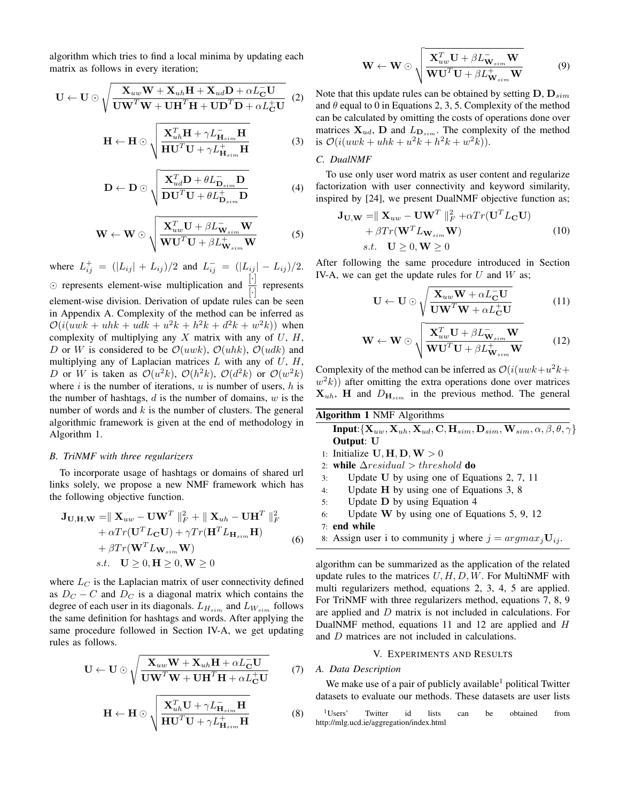algorithm which tries to find a local minima by updating each matrix as follows in every iteration;

$$
\mathbf{U} \leftarrow \mathbf{U} \odot \sqrt{\frac{\mathbf{X}_{uw}\mathbf{W} + \mathbf{X}_{uh}\mathbf{H} + \mathbf{X}_{ud}\mathbf{D} + \alpha L_{\mathbf{C}}^{-}\mathbf{U}}{\mathbf{U}\mathbf{W}^{T}\mathbf{W} + \mathbf{U}\mathbf{H}^{T}\mathbf{H} + \mathbf{U}\mathbf{D}^{T}\mathbf{D} + \alpha L_{\mathbf{C}}^{+}\mathbf{U}}}
$$
(2)

$$
\mathbf{H} \leftarrow \mathbf{H} \odot \sqrt{\frac{\mathbf{X}_{uh}^T \mathbf{H} + \gamma L_{\mathbf{H}_{sim}}^{\top} \mathbf{H}}{\mathbf{H} \mathbf{U}^T \mathbf{U} + \gamma L_{\mathbf{H}_{sim}}^{\top} \mathbf{H}}}
$$
(3)

$$
\mathbf{D} \leftarrow \mathbf{D} \odot \sqrt{\frac{\mathbf{X}_{ud}^T \mathbf{D} + \theta L_{\mathbf{D}_{sim}}^{\top} \mathbf{D}}{\mathbf{D} \mathbf{U}^T \mathbf{U} + \theta L_{\mathbf{D}_{sim}}^{\top} \mathbf{D}}}
$$
(4)

$$
\mathbf{W} \leftarrow \mathbf{W} \odot \sqrt{\frac{\mathbf{X}_{uw}^T \mathbf{U} + \beta L_{\mathbf{W}_{sim}}^{\top} \mathbf{W}}{\mathbf{W} \mathbf{U}^T \mathbf{U} + \beta L_{\mathbf{W}_{sim}}^{\top} \mathbf{W}}}
$$
 (5)

where  $L_{ij}^{+} = (|L_{ij}| + L_{ij})/2$  and  $L_{ij}^{-} = (|L_{ij}| - L_{ij})/2$ .  $\odot$  represents element-wise multiplication and  $\frac{[\cdot]}{[\cdot]}$  represents element-wise division. Derivation of update rules can be seen in Appendix A. Complexity of the method can be inferred as  $\mathcal{O}(i(uwk + uhk + udk + u^2k + h^2k + d^2k + w^2k))$  when complexity of multiplying any  $X$  matrix with any of  $U$ ,  $H$ , D or W is considered to be  $\mathcal{O}(uwk)$ ,  $\mathcal{O}(uhk)$ ,  $\mathcal{O}(udk)$  and multiplying any of Laplacian matrices  $L$  with any of  $U$ ,  $H$ , D or W is taken as  $\mathcal{O}(u^2k)$ ,  $\mathcal{O}(h^2k)$ ,  $\mathcal{O}(d^2k)$  or  $\mathcal{O}(w^2k)$ where i is the number of iterations,  $u$  is number of users,  $h$  is the number of hashtags,  $d$  is the number of domains,  $w$  is the number of words and  $k$  is the number of clusters. The general algorithmic framework is given at the end of methodology in Algorithm 1.

#### *B. TriNMF with three regularizers*

To incorporate usage of hashtags or domains of shared url links solely, we propose a new NMF framework which has the following objective function.

$$
\mathbf{J}_{\mathbf{U},\mathbf{H},\mathbf{W}} = || \mathbf{X}_{uw} - \mathbf{U}\mathbf{W}^T ||_F^2 + || \mathbf{X}_{uh} - \mathbf{U}\mathbf{H}^T ||_F^2 + \alpha Tr(\mathbf{U}^T L_{\mathbf{C}} \mathbf{U}) + \gamma Tr(\mathbf{H}^T L_{\mathbf{H}_{sim}} \mathbf{H}) + \beta Tr(\mathbf{W}^T L_{\mathbf{W}_{sim}} \mathbf{W}) s.t. \quad \mathbf{U} \ge 0, \mathbf{H} \ge 0, \mathbf{W} \ge 0
$$
 (6)

where  $L_C$  is the Laplacian matrix of user connectivity defined as  $D_C - C$  and  $D_C$  is a diagonal matrix which contains the degree of each user in its diagonals.  $L_{H_{sim}}$  and  $L_{W_{sim}}$  follows the same definition for hashtags and words. After applying the same procedure followed in Section IV-A, we get updating rules as follows.

$$
\mathbf{U} \leftarrow \mathbf{U} \odot \sqrt{\frac{\mathbf{X}_{uw}\mathbf{W} + \mathbf{X}_{uh}\mathbf{H} + \alpha L_{\mathbf{C}}^{-}\mathbf{U}}{\mathbf{U}\mathbf{W}^{T}\mathbf{W} + \mathbf{U}\mathbf{H}^{T}\mathbf{H} + \alpha L_{\mathbf{C}}^{+}\mathbf{U}}}
$$
(7)

$$
\mathbf{H} \leftarrow \mathbf{H} \odot \sqrt{\frac{\mathbf{X}_{uh}^T \mathbf{U} + \gamma L_{\mathbf{H}_{sim}}^{\top} \mathbf{H}}{\mathbf{H} \mathbf{U}^T \mathbf{U} + \gamma L_{\mathbf{H}_{sim}}^{\top} \mathbf{H}}}
$$
(8)

$$
\mathbf{W} \leftarrow \mathbf{W} \odot \sqrt{\frac{\mathbf{X}_{uw}^T \mathbf{U} + \beta L_{\mathbf{W}_{sim}}^{\top} \mathbf{W}}{\mathbf{W} \mathbf{U}^T \mathbf{U} + \beta L_{\mathbf{W}_{sim}}^{\top} \mathbf{W}}}
$$
(9)

Note that this update rules can be obtained by setting  $D, D_{sim}$ and  $\theta$  equal to 0 in Equations 2, 3, 5. Complexity of the method can be calculated by omitting the costs of operations done over matrices  $X_{ud}$ , D and  $L_{\text{D}_{sim}}$ . The complexity of the method is  $\mathcal{O}(i(uwk + uhk + u^2k + h^2k + w^2k)).$ 

# *C. DualNMF*

To use only user word matrix as user content and regularize factorization with user connectivity and keyword similarity, inspired by [24], we present DualNMF objective function as;

$$
\mathbf{J}_{\mathbf{U},\mathbf{W}} = ||\mathbf{X}_{uw} - \mathbf{U}\mathbf{W}^T||_F^2 + \alpha Tr(\mathbf{U}^T L_{\mathbf{C}} \mathbf{U}) + \beta Tr(\mathbf{W}^T L_{\mathbf{W}_{sim}} \mathbf{W})
$$
(10)  
s.t.  $\mathbf{U} \ge 0, \mathbf{W} \ge 0$ 

After following the same procedure introduced in Section IV-A, we can get the update rules for  $U$  and  $W$  as;

$$
\mathbf{U} \leftarrow \mathbf{U} \odot \sqrt{\frac{\mathbf{X}_{uw}\mathbf{W} + \alpha L_{\mathbf{C}}^{-}\mathbf{U}}{\mathbf{U}\mathbf{W}^{T}\mathbf{W} + \alpha L_{\mathbf{C}}^{+}\mathbf{U}}}
$$
(11)

$$
\mathbf{W} \leftarrow \mathbf{W} \odot \sqrt{\frac{\mathbf{X}_{uw}^T \mathbf{U} + \beta L_{\mathbf{W}_{sim}}^{\top} \mathbf{W}}{\mathbf{W} \mathbf{U}^T \mathbf{U} + \beta L_{\mathbf{W}_{sim}}^{\top} \mathbf{W}}}
$$
(12)

Complexity of the method can be inferred as  $\mathcal{O}(i(uwk + u^2k + ...))$  $(w<sup>2</sup>k)$ ) after omitting the extra operations done over matrices  $X_{uh}$ , H and  $D_{H_{sim}}$  in the previous method. The general

| <b>Algorithm 1 NMF Algorithms</b>                                                                       |  |
|---------------------------------------------------------------------------------------------------------|--|
| <b>Input:</b> $\{X_{uw}, X_{uh}, X_{ud}, C, H_{sim}, D_{sim}, W_{sim}, \alpha, \beta, \theta, \gamma\}$ |  |
| <b>Output:</b> U                                                                                        |  |

- 1: Initialize  $U, H, D, W > 0$
- 2: while  $\Delta residual > threshold$  do
- 3: Update U by using one of Equations 2, 7, 11
- 4: Update H by using one of Equations 3, 8
- 5: Update D by using Equation 4
- 6: Update W by using one of Equations 5, 9, 12
- 7: end while
- 8: Assign user i to community j where  $j = argmax_j U_{ij}$ .

algorithm can be summarized as the application of the related update rules to the matrices  $U, H, D, W$ . For MultiNMF with multi regularizers method, equations 2, 3, 4, 5 are applied. For TriNMF with three regularizers method, equations 7, 8, 9 are applied and D matrix is not included in calculations. For DualNMF method, equations 11 and 12 are applied and H and D matrices are not included in calculations.

#### V. EXPERIMENTS AND RESULTS

## *A. Data Description*

We make use of a pair of publicly available<sup>1</sup> political Twitter datasets to evaluate our methods. These datasets are user lists

<sup>1</sup>Users' Twitter id lists can be obtained from http://mlg.ucd.ie/aggregation/index.html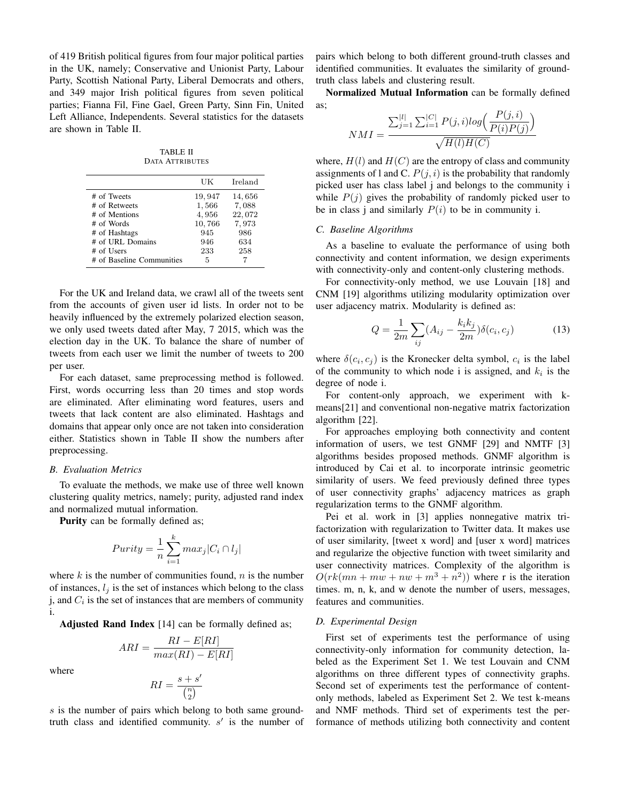of 419 British political figures from four major political parties in the UK, namely; Conservative and Unionist Party, Labour Party, Scottish National Party, Liberal Democrats and others, and 349 major Irish political figures from seven political parties; Fianna Fil, Fine Gael, Green Party, Sinn Fin, United Left Alliance, Independents. Several statistics for the datasets are shown in Table II.

TABLE II DATA ATTRIBUTES

|                           | UК     | Ireland |
|---------------------------|--------|---------|
| # of Tweets               | 19,947 | 14,656  |
| # of Retweets             | 1,566  | 7,088   |
| # of Mentions             | 4,956  | 22,072  |
| # of Words                | 10,766 | 7,973   |
| # of Hashtags             | 945    | 986     |
| # of URL Domains          | 946    | 634     |
| # of Users                | 233    | 258     |
| # of Baseline Communities | 5      |         |

For the UK and Ireland data, we crawl all of the tweets sent from the accounts of given user id lists. In order not to be heavily influenced by the extremely polarized election season, we only used tweets dated after May, 7 2015, which was the election day in the UK. To balance the share of number of tweets from each user we limit the number of tweets to 200 per user.

For each dataset, same preprocessing method is followed. First, words occurring less than 20 times and stop words are eliminated. After eliminating word features, users and tweets that lack content are also eliminated. Hashtags and domains that appear only once are not taken into consideration either. Statistics shown in Table II show the numbers after preprocessing.

#### *B. Evaluation Metrics*

To evaluate the methods, we make use of three well known clustering quality metrics, namely; purity, adjusted rand index and normalized mutual information.

Purity can be formally defined as;

$$
Purity = \frac{1}{n} \sum_{i=1}^{k} max_j |C_i \cap l_j|
$$

where  $k$  is the number of communities found,  $n$  is the number of instances,  $l_i$  is the set of instances which belong to the class j, and  $C_i$  is the set of instances that are members of community i.

Adjusted Rand Index [14] can be formally defined as;

$$
ARI = \frac{RI - E[RI]}{max(RI) - E[RI]}
$$

where

$$
RI = \frac{s+s}{\binom{n}{2}}
$$

 $\prime$ 

s is the number of pairs which belong to both same groundtruth class and identified community.  $s'$  is the number of pairs which belong to both different ground-truth classes and identified communities. It evaluates the similarity of groundtruth class labels and clustering result.

Normalized Mutual Information can be formally defined as;

$$
NMI = \frac{\sum_{j=1}^{|l|} \sum_{i=1}^{|C|} P(j,i)log\left(\frac{P(j,i)}{P(i)P(j)}\right)}{\sqrt{H(l)H(C)}}
$$

where,  $H(l)$  and  $H(C)$  are the entropy of class and community assignments of 1 and C.  $P(j, i)$  is the probability that randomly picked user has class label j and belongs to the community i while  $P(i)$  gives the probability of randomly picked user to be in class j and similarly  $P(i)$  to be in community i.

### *C. Baseline Algorithms*

As a baseline to evaluate the performance of using both connectivity and content information, we design experiments with connectivity-only and content-only clustering methods.

For connectivity-only method, we use Louvain [18] and CNM [19] algorithms utilizing modularity optimization over user adjacency matrix. Modularity is defined as:

$$
Q = \frac{1}{2m} \sum_{ij} (A_{ij} - \frac{k_i k_j}{2m}) \delta(c_i, c_j)
$$
 (13)

where  $\delta(c_i, c_j)$  is the Kronecker delta symbol,  $c_i$  is the label of the community to which node i is assigned, and  $k_i$  is the degree of node i.

For content-only approach, we experiment with kmeans[21] and conventional non-negative matrix factorization algorithm [22].

For approaches employing both connectivity and content information of users, we test GNMF [29] and NMTF [3] algorithms besides proposed methods. GNMF algorithm is introduced by Cai et al. to incorporate intrinsic geometric similarity of users. We feed previously defined three types of user connectivity graphs' adjacency matrices as graph regularization terms to the GNMF algorithm.

Pei et al. work in [3] applies nonnegative matrix trifactorization with regularization to Twitter data. It makes use of user similarity, [tweet x word] and [user x word] matrices and regularize the objective function with tweet similarity and user connectivity matrices. Complexity of the algorithm is  $O(rk(mn + mw + nw + m^3 + n^2))$  where r is the iteration times. m, n, k, and w denote the number of users, messages, features and communities.

#### *D. Experimental Design*

First set of experiments test the performance of using connectivity-only information for community detection, labeled as the Experiment Set 1. We test Louvain and CNM algorithms on three different types of connectivity graphs. Second set of experiments test the performance of contentonly methods, labeled as Experiment Set 2. We test k-means and NMF methods. Third set of experiments test the performance of methods utilizing both connectivity and content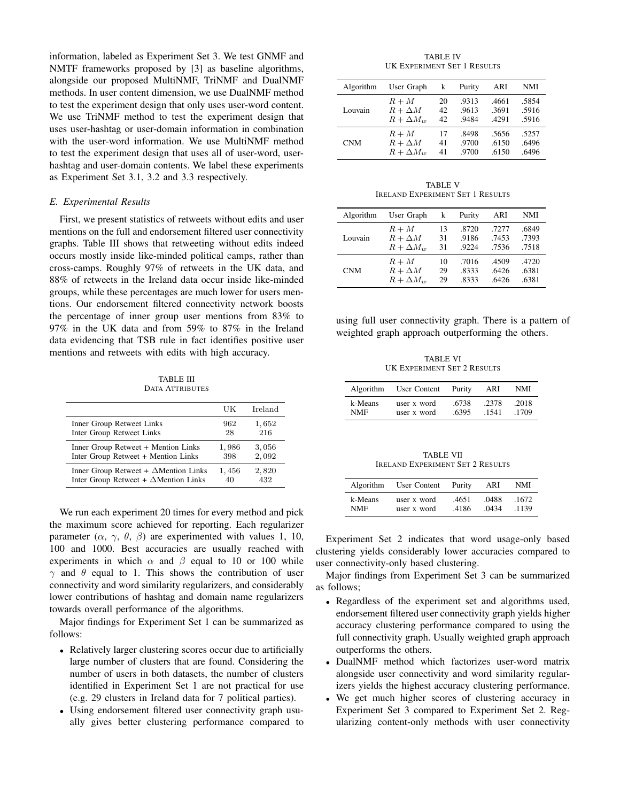information, labeled as Experiment Set 3. We test GNMF and NMTF frameworks proposed by [3] as baseline algorithms, alongside our proposed MultiNMF, TriNMF and DualNMF methods. In user content dimension, we use DualNMF method to test the experiment design that only uses user-word content. We use TriNMF method to test the experiment design that uses user-hashtag or user-domain information in combination with the user-word information. We use MultiNMF method to test the experiment design that uses all of user-word, userhashtag and user-domain contents. We label these experiments as Experiment Set 3.1, 3.2 and 3.3 respectively.

## *E. Experimental Results*

First, we present statistics of retweets without edits and user mentions on the full and endorsement filtered user connectivity graphs. Table III shows that retweeting without edits indeed occurs mostly inside like-minded political camps, rather than cross-camps. Roughly 97% of retweets in the UK data, and 88% of retweets in the Ireland data occur inside like-minded groups, while these percentages are much lower for users mentions. Our endorsement filtered connectivity network boosts the percentage of inner group user mentions from 83% to 97% in the UK data and from 59% to 87% in the Ireland data evidencing that TSB rule in fact identifies positive user mentions and retweets with edits with high accuracy.

TABLE III DATA ATTRIBUTES

|                                              | UК    | Ireland |
|----------------------------------------------|-------|---------|
| Inner Group Retweet Links                    | 962   | 1,652   |
| Inter Group Retweet Links                    | 28    | 216     |
| Inner Group Retweet + Mention Links          | 1,986 | 3,056   |
| Inter Group Retweet + Mention Links          | 398   | 2,092   |
| Inner Group Retweet + $\Delta$ Mention Links | 1,456 | 2,820   |
| Inter Group Retweet + $\Delta$ Mention Links | 40    | 432     |

We run each experiment 20 times for every method and pick the maximum score achieved for reporting. Each regularizer parameter  $(\alpha, \gamma, \theta, \beta)$  are experimented with values 1, 10, 100 and 1000. Best accuracies are usually reached with experiments in which  $\alpha$  and  $\beta$  equal to 10 or 100 while  $\gamma$  and  $\theta$  equal to 1. This shows the contribution of user connectivity and word similarity regularizers, and considerably lower contributions of hashtag and domain name regularizers towards overall performance of the algorithms.

Major findings for Experiment Set 1 can be summarized as follows:

- Relatively larger clustering scores occur due to artificially large number of clusters that are found. Considering the number of users in both datasets, the number of clusters identified in Experiment Set 1 are not practical for use (e.g. 29 clusters in Ireland data for 7 political parties).
- Using endorsement filtered user connectivity graph usually gives better clustering performance compared to

TABLE IV UK EXPERIMENT SET 1 RESULTS

| Algorithm  | User Graph       | k               | Purity | ARI   | NMI   |
|------------|------------------|-----------------|--------|-------|-------|
| Louvain    | $R+M$            | 20              | .9313  | .4661 | .5854 |
|            | $R + \Delta M$   | 42 <sub>1</sub> | .9613  | .3691 | .5916 |
|            | $R + \Delta M_w$ | 42              | .9484  | .4291 | .5916 |
| <b>CNM</b> | $R+M$            | 17              | .8498  | .5656 | .5257 |
|            | $R + \Delta M$   | 41              | .9700  | .6150 | .6496 |
|            | $R + \Delta M_w$ | 41              | .9700  | .6150 | .6496 |

TABLE V IRELAND EXPERIMENT SET 1 RESULTS

| Algorithm  | User Graph       | k  | Purity | ARI   | NMI   |
|------------|------------------|----|--------|-------|-------|
| Louvain    | $R+M$            | 13 | .8720  | .7277 | .6849 |
|            | $R + \Delta M$   | 31 | .9186  | .7453 | .7393 |
|            | $R + \Delta M_w$ | 31 | 9224   | .7536 | .7518 |
| <b>CNM</b> | $R+M$            | 10 | .7016  | .4509 | .4720 |
|            | $R + \Delta M$   | 29 | .8333  | .6426 | .6381 |
|            | $R + \Delta M_w$ | 29 | .8333  | .6426 | .6381 |

using full user connectivity graph. There is a pattern of weighted graph approach outperforming the others.

TABLE VI UK EXPERIMENT SET 2 RESULTS

| Algorithm | User Content | Purity | ARI   | NMI   |
|-----------|--------------|--------|-------|-------|
| k-Means   | user x word  | .6738  | .2378 | .2018 |
| NMF       | user x word  | .6395  | .1541 | .1709 |

TABLE VII IRELAND EXPERIMENT SET 2 RESULTS

| Algorithm | User Content | Purity | ARI   | NMI   |
|-----------|--------------|--------|-------|-------|
| k-Means   | user x word  | .4651  | .0488 | .1672 |
| NMF       | user x word  | .4186  | .0434 | .1139 |

Experiment Set 2 indicates that word usage-only based clustering yields considerably lower accuracies compared to user connectivity-only based clustering.

Major findings from Experiment Set 3 can be summarized as follows;

- Regardless of the experiment set and algorithms used, endorsement filtered user connectivity graph yields higher accuracy clustering performance compared to using the full connectivity graph. Usually weighted graph approach outperforms the others.
- DualNMF method which factorizes user-word matrix alongside user connectivity and word similarity regularizers yields the highest accuracy clustering performance.
- We get much higher scores of clustering accuracy in Experiment Set 3 compared to Experiment Set 2. Regularizing content-only methods with user connectivity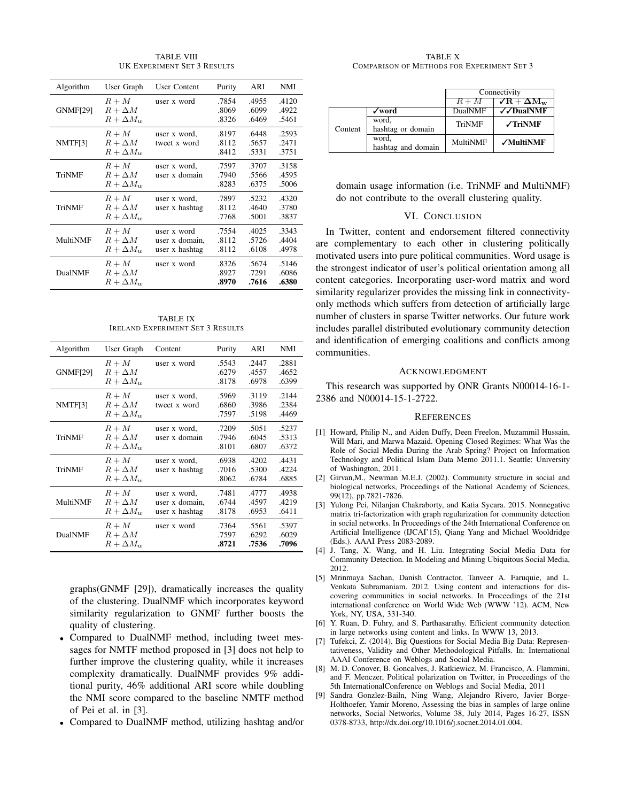Algorithm User Graph User Content Purity ARI NMI GNMF[29]  $R + M$  user x word .7854 .4955 .4120<br> $R + \Delta M$  8069 6099 4922  $R + \Delta M$  .8069 .6099 .4922  $R + \Delta M_w$  .8326 .6469 .5461 NMTF[3]  $R + M$  user x word, .8197 .6448 .2593  $R + \Delta M$  tweet x word .8112 .5657 .2471  $R + \Delta M_w$  .8412 .5331 .3751 TriNMF  $R + M$  user x word, .7597 .3707 .3158  $R + \Delta M$  user x domain .7940 .5566 .4595  $R + \Delta M_w$  .8283 .6375 .5006 TriNMF  $R + M$  user x word, .7897 .5232 .4320  $R + \Delta M$  user x hashtag .8112 .4640 .3780<br> $R + \Delta M_w$  .7768 .5001 .3837  $R + \Delta M_w$ MultiNMF  $R + M$  user x word .7554 .4025 .3343  $R + \Delta M$  user x domain, .8112 .5726 .4404<br> $R + \Delta M_w$  user x hashtag .8112 .6108 .4978 R + ∆Mw user x hashtag .8112 .6108 .4978 DualNMF  $R + M$  user x word .8326 .5674 .5146<br> $R + \Delta M$  .8927 .7291 .6086  $R + \Delta M$  .8927 .7291 .6086  $R + \Delta M_w$  .8970 .7616 .6380

TABLE VIII UK EXPERIMENT SET 3 RESULTS

| <b>TABLE IX</b> |                                  |  |  |  |  |
|-----------------|----------------------------------|--|--|--|--|
|                 | IRELAND EXPERIMENT SET 3 RESULTS |  |  |  |  |

| Algorithm       | User Graph                                  | Content                                          | Purity                  | ARI                     | NMI                     |
|-----------------|---------------------------------------------|--------------------------------------------------|-------------------------|-------------------------|-------------------------|
| <b>GNMF[29]</b> | $R+M$<br>$R + \Delta M$<br>$R + \Delta M_w$ | user x word                                      | .5543<br>.6279<br>.8178 | .2447<br>.4557<br>.6978 | .2881<br>.4652<br>.6399 |
| NMTF[3]         | $R+M$<br>$R + \Delta M$<br>$R + \Delta M_w$ | user x word,<br>tweet x word                     | .5969<br>.6860<br>.7597 | .3119<br>.3986<br>.5198 | .2144<br>.2384<br>.4469 |
| TriNMF          | $R+M$<br>$R + \Delta M$<br>$R + \Delta M_w$ | user x word,<br>user x domain                    | .7209<br>.7946<br>.8101 | .5051<br>.6045<br>.6807 | .5237<br>.5313<br>.6372 |
| TriNMF          | $R+M$<br>$R + \Delta M$<br>$R + \Delta M_w$ | user x word,<br>user x hashtag                   | .6938<br>.7016<br>.8062 | .4202<br>.5300<br>.6784 | .4431<br>.4224<br>.6885 |
| MultiNMF        | $R+M$<br>$R + \Delta M$<br>$R + \Delta M_w$ | user x word,<br>user x domain,<br>user x hashtag | .7481<br>.6744<br>.8178 | .4777<br>.4597<br>.6953 | .4938<br>.4219<br>.6411 |
| DualNMF         | $R+M$<br>$R + \Delta M$<br>$R + \Delta M_w$ | user x word                                      | .7364<br>.7597<br>.8721 | .5561<br>.6292<br>.7536 | .5397<br>.6029<br>.7096 |

graphs(GNMF [29]), dramatically increases the quality of the clustering. DualNMF which incorporates keyword similarity regularization to GNMF further boosts the quality of clustering.

- Compared to DualNMF method, including tweet messages for NMTF method proposed in [3] does not help to further improve the clustering quality, while it increases complexity dramatically. DualNMF provides 9% additional purity, 46% additional ARI score while doubling the NMI score compared to the baseline NMTF method of Pei et al. in [3].
- Compared to DualNMF method, utilizing hashtag and/or

TABLE X COMPARISON OF METHODS FOR EXPERIMENT SET 3

|         |                    | Connectivity |                         |
|---------|--------------------|--------------|-------------------------|
|         |                    | $R+M$        | $\sqrt{R} + \Delta M_w$ |
|         | √word              | DualNMF      | √ DualNMF               |
|         | word,              | TriNMF       | $\sqrt{T}$ riNMF        |
| Content | hashtag or domain  |              |                         |
|         | word,              | MultiNMF     | $\sqrt{}$ MultiNMF      |
|         | hashtag and domain |              |                         |

domain usage information (i.e. TriNMF and MultiNMF) do not contribute to the overall clustering quality.

## VI. CONCLUSION

In Twitter, content and endorsement filtered connectivity are complementary to each other in clustering politically motivated users into pure political communities. Word usage is the strongest indicator of user's political orientation among all content categories. Incorporating user-word matrix and word similarity regularizer provides the missing link in connectivityonly methods which suffers from detection of artificially large number of clusters in sparse Twitter networks. Our future work includes parallel distributed evolutionary community detection and identification of emerging coalitions and conflicts among communities.

#### ACKNOWLEDGMENT

This research was supported by ONR Grants N00014-16-1- 2386 and N00014-15-1-2722.

#### **REFERENCES**

- [1] Howard, Philip N., and Aiden Duffy, Deen Freelon, Muzammil Hussain, Will Mari, and Marwa Mazaid. Opening Closed Regimes: What Was the Role of Social Media During the Arab Spring? Project on Information Technology and Political Islam Data Memo 2011.1. Seattle: University of Washington, 2011.
- [2] Girvan,M., Newman M.E.J. (2002). Community structure in social and biological networks, Proceedings of the National Academy of Sciences, 99(12), pp.7821-7826.
- [3] Yulong Pei, Nilanjan Chakraborty, and Katia Sycara. 2015. Nonnegative matrix tri-factorization with graph regularization for community detection in social networks. In Proceedings of the 24th International Conference on Artificial Intelligence (IJCAI'15), Qiang Yang and Michael Wooldridge (Eds.). AAAI Press 2083-2089.
- [4] J. Tang, X. Wang, and H. Liu. Integrating Social Media Data for Community Detection. In Modeling and Mining Ubiquitous Social Media, 2012.
- [5] Mrinmaya Sachan, Danish Contractor, Tanveer A. Faruquie, and L. Venkata Subramaniam. 2012. Using content and interactions for discovering communities in social networks. In Proceedings of the 21st international conference on World Wide Web (WWW '12). ACM, New York, NY, USA, 331-340.
- [6] Y. Ruan, D. Fuhry, and S. Parthasarathy. Efficient community detection in large networks using content and links. In WWW 13, 2013.
- [7] Tufekci, Z. (2014). Big Questions for Social Media Big Data: Representativeness, Validity and Other Methodological Pitfalls. In: International AAAI Conference on Weblogs and Social Media.
- [8] M. D. Conover, B. Goncalves, J. Ratkiewicz, M. Francisco, A. Flammini, and F. Menczer, Political polarization on Twitter, in Proceedings of the 5th InternationalConference on Weblogs and Social Media, 2011
- [9] Sandra Gonzlez-Bailn, Ning Wang, Alejandro Rivero, Javier Borge-Holthoefer, Yamir Moreno, Assessing the bias in samples of large online networks, Social Networks, Volume 38, July 2014, Pages 16-27, ISSN 0378-8733, http://dx.doi.org/10.1016/j.socnet.2014.01.004.